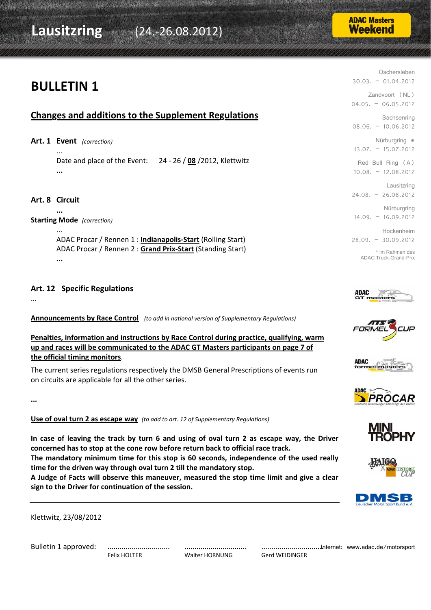## **Lausitzring** (24.‐26.08.2012)

### **BULLETIN 1**

#### **Changes and additions to the Supplement Regulations**

**Art. 1 Event** *(correction)*

 ... Date and place of the Event: 24 ‐ 26 / **08** /2012, Klettwitz  **...**

#### **Art. 8 Circuit**

 **...**

**Starting Mode** *(correction)*

 ... ADAC Procar / Rennen 1 : **Indianapolis‐Start** (Rolling Start) ADAC Procar / Rennen 2 : **Grand Prix‐Start** (Standing Start)  **...**

#### **Art. 12 Specific Regulations**

...

**Announcements by Race Control** *(to add in national version of Supplementary Regulations)*

**Penalties, information and instructions by Race Control during practice, qualifying, warm up and races will be communicated to the ADAC GT Masters participants on page 7 of the official timing monitors**.

The current series regulations respectively the DMSB General Prescriptions of events run on circuits are applicable for all the other series.

**...**

**Use of oval turn 2 as escape way** *(to add to art. 12 of Supplementary Regulations)*

In case of leaving the track by turn 6 and using of oval turn 2 as escape way, the Driver **concerned has to stop at the cone row before return back to official race track. The mandatory minimum time for this stop is 60 seconds, independence of the used really time for the driven way through oval turn 2 till the mandatory stop. A Judge of Facts will observe this maneuver, measured the stop time limit and give a clear**

Klettwitz, 23/08/2012

Bulletin 1 approved: ............................... ............................... ...............................

**sign to the Driver for continuation of the session.**

Felix HOLTER **Malter HORNUNG** Gerd WEIDINGER

Internet: www.adac.de/motorsport











Zandvoort (NL)  $04.05. - 06.05.2012$ **Sachsenring** 08.06. – 10.06.2012 Nürburgring \* 13.07. – 15.07.2012 Red Bull Ring (A) 10.08. – 12.08.2012 Lausitzring 24.08. – 26.08.2012 Nürburgring 14.09. – 16.09.2012

Oschersleben

30.03. – 01.04.2012

Hockenheim 28.09. – 30.09.2012

\* im Rahmen des ADAC Truck-Grand-Prix